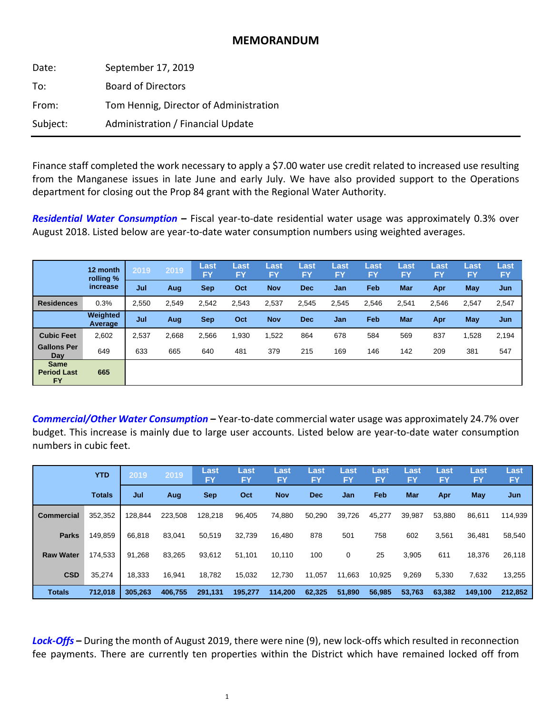## **MEMORANDUM**

| Date:    | September 17, 2019                     |
|----------|----------------------------------------|
| To:      | <b>Board of Directors</b>              |
| From:    | Tom Hennig, Director of Administration |
| Subject: | Administration / Financial Update      |

Finance staff completed the work necessary to apply a \$7.00 water use credit related to increased use resulting from the Manganese issues in late June and early July. We have also provided support to the Operations department for closing out the Prop 84 grant with the Regional Water Authority.

*Residential Water Consumption* **–** Fiscal year‐to‐date residential water usage was approximately 0.3% over August 2018. Listed below are year-to-date water consumption numbers using weighted averages.

|                                                | 12 month<br>rolling % | 2019  | 2019  | Last<br><b>FY</b> | Last<br>FY | Last<br>ΈY | Last<br>FY | Last<br>FY | Last<br>FY | Last<br>ΈY | Last<br><b>FY</b> | Last<br><b>FY</b> | Last<br><b>FY</b> |
|------------------------------------------------|-----------------------|-------|-------|-------------------|------------|------------|------------|------------|------------|------------|-------------------|-------------------|-------------------|
|                                                | increase              | Jul   | Aug   | <b>Sep</b>        | Oct        | <b>Nov</b> | <b>Dec</b> | Jan        | Feb        | Mar        | Apr               | <b>May</b>        | Jun               |
| <b>Residences</b>                              | 0.3%                  | 2,550 | 2,549 | 2,542             | 2,543      | 2,537      | 2,545      | 2,545      | 2,546      | 2,541      | 2,546             | 2,547             | 2,547             |
|                                                | Weighted<br>Average   | Jul   | Aug   | <b>Sep</b>        | Oct        | <b>Nov</b> | <b>Dec</b> | Jan        | Feb        | Mar        | Apr               | May               | Jun               |
| <b>Cubic Feet</b>                              | 2,602                 | 2,537 | 2,668 | 2,566             | 1,930      | 1,522      | 864        | 678        | 584        | 569        | 837               | 1,528             | 2,194             |
| <b>Gallons Per</b><br>Dav                      | 649                   | 633   | 665   | 640               | 481        | 379        | 215        | 169        | 146        | 142        | 209               | 381               | 547               |
| <b>Same</b><br><b>Period Last</b><br><b>FY</b> | 665                   |       |       |                   |            |            |            |            |            |            |                   |                   |                   |

*Commercial/Other Water Consumption* **–** Year‐to‐date commercial water usage was approximately 24.7% over budget. This increase is mainly due to large user accounts. Listed below are year‐to‐date water consumption numbers in cubic feet.

|                   | <b>YTD</b>    | 2019    | 2019    | Last<br>FY | Last<br><b>FY</b> | Last<br>FY | Last<br>F۲ | Last<br><b>FY</b> | Last<br><b>FY</b> | Last<br>FΥ | Last<br><b>FY</b> | Last<br><b>FY</b> | Last<br><b>FY</b> |
|-------------------|---------------|---------|---------|------------|-------------------|------------|------------|-------------------|-------------------|------------|-------------------|-------------------|-------------------|
|                   | <b>Totals</b> | Jul     | Aug     | <b>Sep</b> | Oct               | <b>Nov</b> | <b>Dec</b> | Jan               | Feb               | <b>Mar</b> | Apr               | May               | Jun               |
| <b>Commercial</b> | 352,352       | 128.844 | 223,508 | 128,218    | 96.405            | 74,880     | 50,290     | 39,726            | 45,277            | 39,987     | 53,880            | 86,611            | 114,939           |
| <b>Parks</b>      | 149.859       | 66.818  | 83,041  | 50,519     | 32.739            | 16.480     | 878        | 501               | 758               | 602        | 3,561             | 36,481            | 58,540            |
| <b>Raw Water</b>  | 174,533       | 91.268  | 83,265  | 93,612     | 51.101            | 10,110     | 100        | 0                 | 25                | 3,905      | 611               | 18,376            | 26,118            |
| <b>CSD</b>        | 35.274        | 18.333  | 16.941  | 18.782     | 15.032            | 12,730     | 11.057     | 11.663            | 10.925            | 9,269      | 5.330             | 7,632             | 13,255            |
| <b>Totals</b>     | 712.018       | 305.263 | 406,755 | 291,131    | 195.277           | 114,200    | 62,325     | 51,890            | 56,985            | 53,763     | 63,382            | 149.100           | 212,852           |

*Lock‐Offs* **–** During the month of August 2019, there were nine (9), new lock‐offs which resulted in reconnection fee payments. There are currently ten properties within the District which have remained locked off from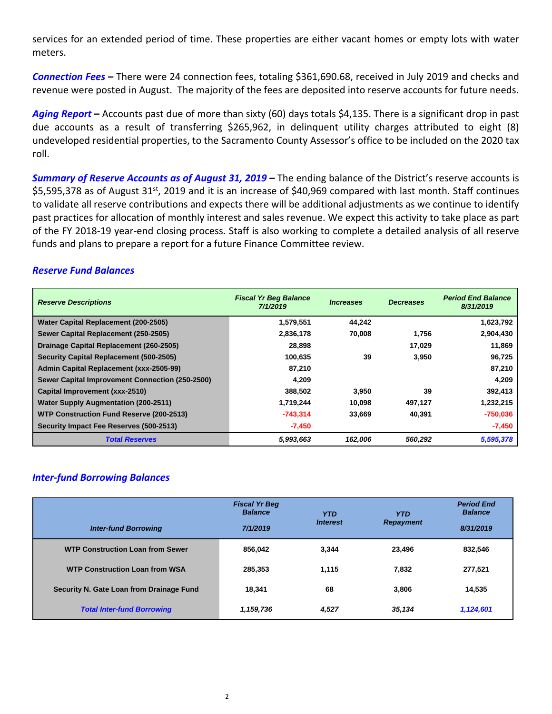services for an extended period of time. These properties are either vacant homes or empty lots with water meters.

*Connection Fees* **–** There were 24 connection fees, totaling \$361,690.68, received in July 2019 and checks and revenue were posted in August. The majority of the fees are deposited into reserve accounts for future needs.

*Aging Report* **–** Accounts past due of more than sixty (60) days totals \$4,135. There is a significant drop in past due accounts as a result of transferring \$265,962, in delinquent utility charges attributed to eight (8) undeveloped residential properties, to the Sacramento County Assessor's office to be included on the 2020 tax roll.

*Summary of Reserve Accounts as of August 31, 2019 –* The ending balance of the District's reserve accounts is \$5,595,378 as of August 31<sup>st</sup>, 2019 and it is an increase of \$40,969 compared with last month. Staff continues to validate all reserve contributions and expects there will be additional adjustments as we continue to identify past practices for allocation of monthly interest and sales revenue. We expect this activity to take place as part of the FY 2018‐19 year‐end closing process. Staff is also working to complete a detailed analysis of all reserve funds and plans to prepare a report for a future Finance Committee review.

### *Reserve Fund Balances*

| <b>Reserve Descriptions</b>                     | <b>Fiscal Yr Beg Balance</b><br>7/1/2019 | <i><u><b>Increases</b></u></i> | <b>Decreases</b> | <b>Period End Balance</b><br>8/31/2019 |
|-------------------------------------------------|------------------------------------------|--------------------------------|------------------|----------------------------------------|
| Water Capital Replacement (200-2505)            | 1,579,551                                | 44.242                         |                  | 1,623,792                              |
| Sewer Capital Replacement (250-2505)            | 2,836,178                                | 70.008                         | 1.756            | 2,904,430                              |
| Drainage Capital Replacement (260-2505)         | 28,898                                   |                                | 17,029           | 11,869                                 |
| <b>Security Capital Replacement (500-2505)</b>  | 100.635                                  | 39                             | 3.950            | 96,725                                 |
| <b>Admin Capital Replacement (xxx-2505-99)</b>  | 87.210                                   |                                |                  | 87,210                                 |
| Sewer Capital Improvement Connection (250-2500) | 4.209                                    |                                |                  | 4,209                                  |
| Capital Improvement (xxx-2510)                  | 388,502                                  | 3,950                          | 39               | 392,413                                |
| <b>Water Supply Augmentation (200-2511)</b>     | 1,719,244                                | 10,098                         | 497,127          | 1,232,215                              |
| <b>WTP Construction Fund Reserve (200-2513)</b> | $-743,314$                               | 33,669                         | 40,391           | $-750,036$                             |
| Security Impact Fee Reserves (500-2513)         | $-7,450$                                 |                                |                  | $-7,450$                               |
| <b>Total Reserves</b>                           | 5,993,663                                | 162,006                        | 560,292          | 5,595,378                              |

## *Inter‐fund Borrowing Balances*

| <b>Inter-fund Borrowing</b>              | <b>Fiscal Yr Beg</b><br><b>Balance</b><br>7/1/2019 | <b>YTD</b><br><i><u><b>Interest</b></u></i> | <b>YTD</b><br><b>Repayment</b> | <b>Period End</b><br><b>Balance</b><br>8/31/2019 |
|------------------------------------------|----------------------------------------------------|---------------------------------------------|--------------------------------|--------------------------------------------------|
|                                          |                                                    |                                             |                                |                                                  |
| <b>WTP Construction Loan from Sewer</b>  | 856.042                                            | 3.344                                       | 23,496                         | 832,546                                          |
| <b>WTP Construction Loan from WSA</b>    | 285.353                                            | 1.115                                       | 7.832                          | 277,521                                          |
| Security N. Gate Loan from Drainage Fund | 18.341                                             | 68                                          | 3,806                          | 14,535                                           |
| <b>Total Inter-fund Borrowing</b>        | 1,159,736                                          | 4,527                                       | 35,134                         | 1,124,601                                        |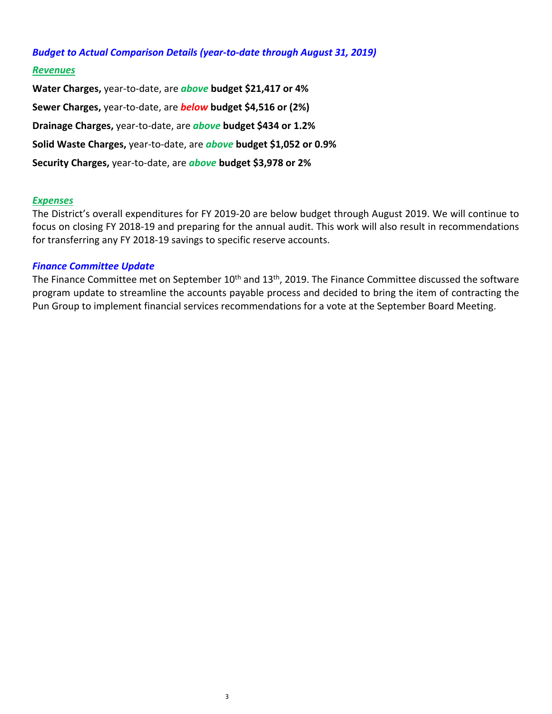### *Budget to Actual Comparison Details (year‐to‐date through August 31, 2019)*

### *Revenues*

**Water Charges,** year‐to‐date, are *above* **budget \$21,417 or 4% Sewer Charges,** year‐to‐date, are *below* **budget \$4,516 or (2%) Drainage Charges,** year‐to‐date, are *above* **budget \$434 or 1.2% Solid Waste Charges,** year‐to‐date, are *above* **budget \$1,052 or 0.9% Security Charges,** year‐to‐date, are *above* **budget \$3,978 or 2%**

#### *Expenses*

The District's overall expenditures for FY 2019‐20 are below budget through August 2019. We will continue to focus on closing FY 2018‐19 and preparing for the annual audit. This work will also result in recommendations for transferring any FY 2018‐19 savings to specific reserve accounts.

#### *Finance Committee Update*

The Finance Committee met on September 10<sup>th</sup> and 13<sup>th</sup>, 2019. The Finance Committee discussed the software program update to streamline the accounts payable process and decided to bring the item of contracting the Pun Group to implement financial services recommendations for a vote at the September Board Meeting.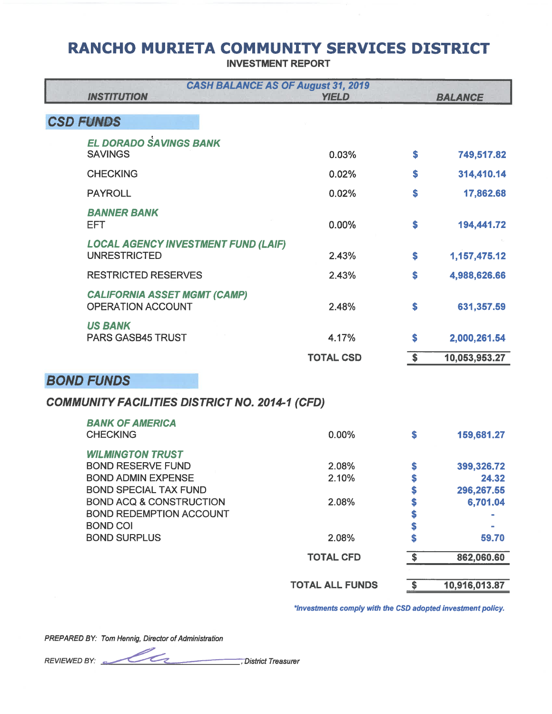# **RANCHO MURIETA COMMUNITY SERVICES DISTRICT INVESTMENT REPORT**

| <b>INSTITUTION</b>                                                                                               | <b>CASH BALANCE AS OF August 31, 2019</b><br><b>YIELD</b> |            | <b>BALANCE</b>                    |
|------------------------------------------------------------------------------------------------------------------|-----------------------------------------------------------|------------|-----------------------------------|
|                                                                                                                  |                                                           |            |                                   |
| <b>CSD FUNDS</b>                                                                                                 |                                                           |            |                                   |
| <b>EL DORADO SAVINGS BANK</b><br><b>SAVINGS</b>                                                                  | 0.03%                                                     | \$         | 749,517.82                        |
| <b>CHECKING</b>                                                                                                  | 0.02%                                                     | \$         | 314,410.14                        |
| <b>PAYROLL</b>                                                                                                   | 0.02%                                                     | \$         | 17,862.68                         |
| <b>BANNER BANK</b><br>EFT.                                                                                       | 0.00%                                                     | \$         | 194,441.72                        |
| <b>LOCAL AGENCY INVESTMENT FUND (LAIF)</b><br><b>UNRESTRICTED</b>                                                | 2.43%                                                     | \$         | 1,157,475.12                      |
| <b>RESTRICTED RESERVES</b>                                                                                       | 2.43%                                                     | \$         | 4,988,626.66                      |
| <b>CALIFORNIA ASSET MGMT (CAMP)</b><br><b>OPERATION ACCOUNT</b>                                                  | 2.48%                                                     | \$         | 631,357.59                        |
| <b>US BANK</b><br><b>PARS GASB45 TRUST</b>                                                                       | 4.17%                                                     | \$         | 2,000,261.54                      |
|                                                                                                                  | <b>TOTAL CSD</b>                                          | $\sqrt{5}$ | 10,053,953.27                     |
| <b>BOND FUNDS</b>                                                                                                |                                                           |            |                                   |
| <b>COMMUNITY FACILITIES DISTRICT NO. 2014-1 (CFD)</b>                                                            |                                                           |            |                                   |
| <b>BANK OF AMERICA</b><br><b>CHECKING</b>                                                                        | 0.00%                                                     | \$         | 159,681.27                        |
| <b>WILMINGTON TRUST</b><br><b>BOND RESERVE FUND</b><br><b>BOND ADMIN EXPENSE</b><br><b>BOND SPECIAL TAX FUND</b> | 2.08%<br>2.10%                                            | \$<br>¢    | 399,326.72<br>24.32<br>296,267.55 |
| <b>BOND ACQ &amp; CONSTRUCTION</b><br><b>BOND REDEMPTION ACCOUNT</b><br><b>BOND COI</b>                          | 2.08%                                                     |            | 6,701.04                          |
| <b>BOND SURPLUS</b>                                                                                              | 2.08%                                                     | \$         | 59.70                             |
|                                                                                                                  | <b>TOTAL CFD</b>                                          | $\sqrt{5}$ | 862,060.60                        |
|                                                                                                                  | <b>TOTAL ALL FUNDS</b>                                    | \$         | 10,916,013.87                     |

\*Investments comply with the CSD adopted investment policy.

PREPARED BY: Tom Hennig, Director of Administration

REVIEWED BY: 2002, District Treasurer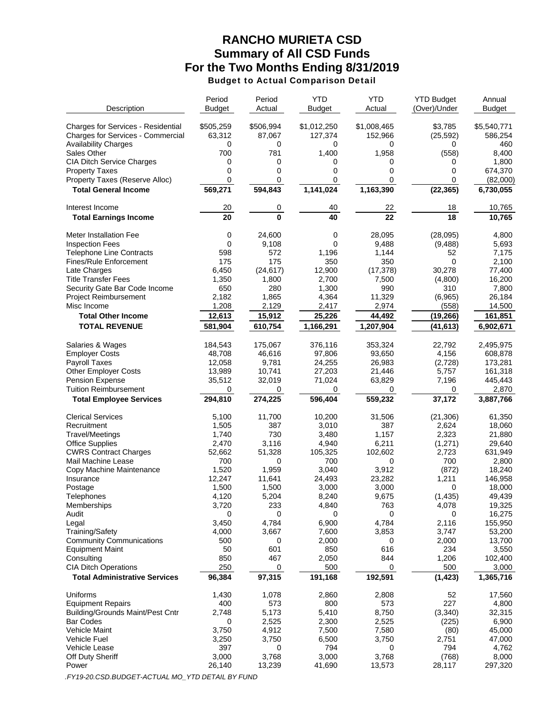## **RANCHO MURIETA CSD Summary of All CSD Funds For the Two Months Ending 8/31/2019** Budget to Actual Comparison Detail

| Description                                             | Period<br><b>Budget</b> | Period<br>Actual | <b>YTD</b><br><b>Budget</b> | <b>YTD</b><br>Actual | <b>YTD Budget</b><br>(Over)/Under | Annual<br><b>Budget</b> |
|---------------------------------------------------------|-------------------------|------------------|-----------------------------|----------------------|-----------------------------------|-------------------------|
| <b>Charges for Services - Residential</b>               | \$505,259               | \$506,994        | \$1,012,250                 | \$1,008,465          | \$3,785                           | \$5,540,771             |
| Charges for Services - Commercial                       | 63,312                  | 87,067           | 127,374                     | 152,966              | (25, 592)                         | 586,254                 |
| <b>Availability Charges</b>                             | 0                       | 0                | 0                           | 0                    | 0                                 | 460                     |
| Sales Other                                             | 700                     | 781              | 1,400                       | 1,958                | (558)                             | 8,400                   |
| <b>CIA Ditch Service Charges</b>                        | 0<br>0                  | 0<br>0           | 0                           | 0                    | 0                                 | 1,800                   |
| <b>Property Taxes</b><br>Property Taxes (Reserve Alloc) | 0                       | 0                | 0<br>0                      | 0<br>0               | 0<br>0                            | 674,370<br>(82,000)     |
| <b>Total General Income</b>                             | 569,271                 | 594,843          | 1,141,024                   | 1,163,390            | (22, 365)                         | 6,730,055               |
| Interest Income                                         | 20                      | 0                | 40                          | 22                   | 18                                | 10,765                  |
| <b>Total Earnings Income</b>                            | 20                      | $\mathbf{0}$     | 40                          | 22                   | 18                                | 10,765                  |
| <b>Meter Installation Fee</b>                           | 0                       | 24,600           | 0                           | 28,095               | (28,095)                          | 4,800                   |
| <b>Inspection Fees</b>                                  | $\mathbf 0$             | 9,108            | 0                           | 9,488                | (9, 488)                          | 5,693                   |
| <b>Telephone Line Contracts</b>                         | 598                     | 572              | 1,196                       | 1,144                | 52                                | 7,175                   |
| Fines/Rule Enforcement                                  | 175                     | 175              | 350                         | 350                  | 0                                 | 2,100                   |
| Late Charges                                            | 6,450                   | (24, 617)        | 12,900                      | (17, 378)            | 30,278                            | 77,400                  |
| <b>Title Transfer Fees</b>                              | 1,350                   | 1,800            | 2,700                       | 7,500                | (4,800)                           | 16,200                  |
| Security Gate Bar Code Income                           | 650                     | 280              | 1,300                       | 990                  | 310                               | 7,800                   |
| <b>Project Reimbursement</b>                            | 2,182                   | 1,865            | 4,364                       | 11,329               | (6,965)                           | 26,184                  |
| Misc Income                                             | 1,208                   | 2,129            | 2,417                       | 2,974                | (558)                             | 14,500                  |
| <b>Total Other Income</b>                               | 12,613                  | 15,912           | 25,226                      | 44,492               | (19, 266)                         | 161,851                 |
| <b>TOTAL REVENUE</b>                                    | 581,904                 | 610,754          | 1,166,291                   | 1,207,904            | (41,613)                          | 6,902,671               |
| Salaries & Wages                                        | 184,543                 | 175,067          | 376,116                     | 353,324              | 22.792                            | 2,495,975               |
| <b>Employer Costs</b>                                   | 48,708                  | 46,616           | 97,806                      | 93,650               | 4,156                             | 608,878                 |
| <b>Payroll Taxes</b>                                    | 12,058                  | 9,781            | 24,255                      | 26,983               | (2,728)                           | 173,281                 |
| <b>Other Employer Costs</b>                             | 13,989                  | 10,741           | 27,203                      | 21,446               | 5,757                             | 161,318                 |
| <b>Pension Expense</b>                                  | 35,512                  | 32,019           | 71,024                      | 63,829               | 7,196                             | 445,443                 |
| <b>Tuition Reimbursement</b>                            | 0                       | 0                | 0                           | 0                    | 0                                 | 2,870                   |
| <b>Total Employee Services</b>                          | 294,810                 | 274,225          | 596,404                     | 559,232              | 37,172                            | 3,887,766               |
| <b>Clerical Services</b>                                | 5,100                   | 11,700           | 10,200                      | 31,506               | (21, 306)                         | 61,350                  |
| Recruitment                                             | 1,505                   | 387              | 3,010                       | 387                  | 2,624                             | 18,060                  |
| <b>Travel/Meetings</b>                                  | 1,740                   | 730              | 3,480                       | 1,157                | 2,323                             | 21,880                  |
| <b>Office Supplies</b>                                  | 2,470                   | 3,116            | 4,940                       | 6,211                | (1,271)                           | 29,640                  |
| <b>CWRS Contract Charges</b>                            | 52,662                  | 51,328           | 105,325                     | 102,602              | 2,723                             | 631,949                 |
| Mail Machine Lease                                      | 700                     | 0                | 700                         | 0                    | 700                               | 2,800                   |
| Copy Machine Maintenance<br>Insurance                   | 1,520<br>12,247         | 1,959<br>11,641  | 3,040<br>24,493             | 3,912<br>23,282      | (872)<br>1,211                    | 18,240<br>146,958       |
| Postage                                                 | 1,500                   | 1,500            | 3,000                       | 3,000                | 0                                 | 18,000                  |
| Telephones                                              | 4,120                   | 5,204            | 8,240                       | 9,675                | (1, 435)                          | 49,439                  |
| Memberships                                             | 3,720                   | 233              | 4,840                       | 763                  | 4,078                             | 19,325                  |
| Audit                                                   | 0                       | $\mathbf 0$      | 0                           | 0                    | $\mathbf 0$                       | 16,275                  |
| Legal                                                   | 3,450                   | 4,784            | 6,900                       | 4,784                | 2,116                             | 155,950                 |
| Training/Safety                                         | 4,000                   | 3,667            | 7,600                       | 3,853                | 3,747                             | 53,200                  |
| <b>Community Communications</b>                         | 500                     | 0                | 2,000                       | 0                    | 2,000                             | 13,700                  |
| <b>Equipment Maint</b>                                  | 50                      | 601              | 850                         | 616                  | 234                               | 3,550                   |
| Consulting                                              | 850                     | 467              | 2,050                       | 844                  | 1,206                             | 102,400                 |
| <b>CIA Ditch Operations</b>                             | 250                     | 0                | 500                         | 0                    | 500                               | 3,000                   |
| <b>Total Administrative Services</b>                    | 96,384                  | 97,315           | 191,168                     | 192,591              | (1, 423)                          | 1,365,716               |
| Uniforms                                                | 1,430                   | 1,078            | 2,860                       | 2,808                | 52                                | 17,560                  |
| <b>Equipment Repairs</b>                                | 400                     | 573              | 800                         | 573                  | 227                               | 4,800                   |
| <b>Building/Grounds Maint/Pest Cntr</b>                 | 2,748                   | 5,173            | 5,410                       | 8,750                | (3,340)                           | 32,315                  |
| <b>Bar Codes</b>                                        | 0                       | 2,525            | 2,300                       | 2,525                | (225)                             | 6,900                   |
| Vehicle Maint                                           | 3,750                   | 4,912            | 7,500                       | 7,580                | (80)                              | 45,000                  |
| <b>Vehicle Fuel</b>                                     | 3,250                   | 3,750            | 6,500                       | 3,750                | 2,751                             | 47,000                  |
| Vehicle Lease                                           | 397                     | 0                | 794                         | 0                    | 794                               | 4,762                   |
| Off Duty Sheriff<br>Power                               | 3,000<br>26,140         | 3,768<br>13,239  | 3,000<br>41,690             | 3,768<br>13,573      | (768)<br>28,117                   | 8,000<br>297,320        |
|                                                         |                         |                  |                             |                      |                                   |                         |

*.FY19-20.CSD.BUDGET-ACTUAL MO\_YTD DETAIL BY FUND*